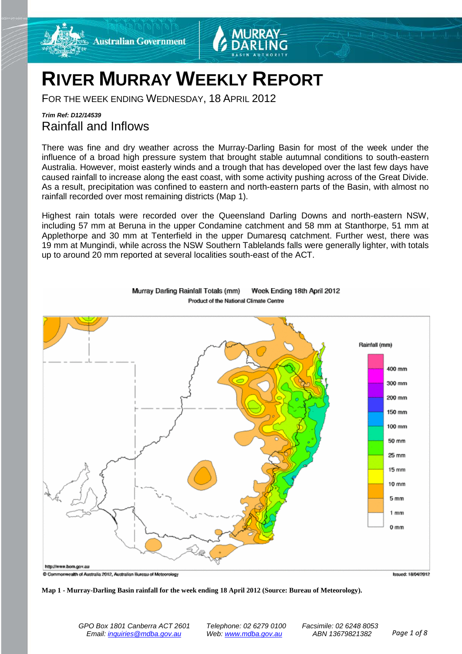

# **RIVER MURRAY WEEKLY REPORT**

FOR THE WEEK ENDING WEDNESDAY, 18 APRIL 2012

# *Trim Ref: D12/14539* Rainfall and Inflows

There was fine and dry weather across the Murray-Darling Basin for most of the week under the influence of a broad high pressure system that brought stable autumnal conditions to south-eastern Australia. However, moist easterly winds and a trough that has developed over the last few days have caused rainfall to increase along the east coast, with some activity pushing across of the Great Divide. As a result, precipitation was confined to eastern and north-eastern parts of the Basin, with almost no rainfall recorded over most remaining districts (Map 1).

Highest rain totals were recorded over the Queensland Darling Downs and north-eastern NSW, including 57 mm at Beruna in the upper Condamine catchment and 58 mm at Stanthorpe, 51 mm at Applethorpe and 30 mm at Tenterfield in the upper Dumaresq catchment. Further west, there was 19 mm at Mungindi, while across the NSW Southern Tablelands falls were generally lighter, with totals up to around 20 mm reported at several localities south-east of the ACT.



#### Week Ending 18th April 2012 Murray Darling Rainfall Totals (mm)

**Map 1 - Murray-Darling Basin rainfall for the week ending 18 April 2012 (Source: Bureau of Meteorology).**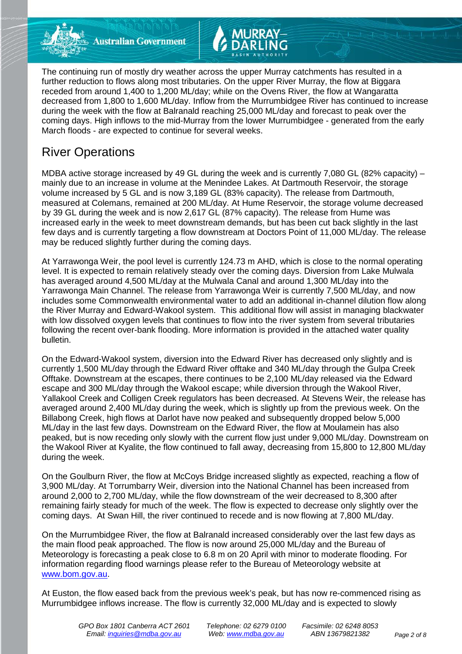

**Australian Government** 

The continuing run of mostly dry weather across the upper Murray catchments has resulted in a further reduction to flows along most tributaries. On the upper River Murray, the flow at Biggara receded from around 1,400 to 1,200 ML/day; while on the Ovens River, the flow at Wangaratta decreased from 1,800 to 1,600 ML/day. Inflow from the Murrumbidgee River has continued to increase during the week with the flow at Balranald reaching 25,000 ML/day and forecast to peak over the coming days. High inflows to the mid-Murray from the lower Murrumbidgee - generated from the early March floods - are expected to continue for several weeks.

# River Operations

MDBA active storage increased by 49 GL during the week and is currently 7,080 GL (82% capacity) – mainly due to an increase in volume at the Menindee Lakes. At Dartmouth Reservoir, the storage volume increased by 5 GL and is now 3,189 GL (83% capacity). The release from Dartmouth, measured at Colemans, remained at 200 ML/day. At Hume Reservoir, the storage volume decreased by 39 GL during the week and is now 2,617 GL (87% capacity). The release from Hume was increased early in the week to meet downstream demands, but has been cut back slightly in the last few days and is currently targeting a flow downstream at Doctors Point of 11,000 ML/day. The release may be reduced slightly further during the coming days.

At Yarrawonga Weir, the pool level is currently 124.73 m AHD, which is close to the normal operating level. It is expected to remain relatively steady over the coming days. Diversion from Lake Mulwala has averaged around 4,500 ML/day at the Mulwala Canal and around 1,300 ML/day into the Yarrawonga Main Channel. The release from Yarrawonga Weir is currently 7,500 ML/day, and now includes some Commonwealth environmental water to add an additional in-channel dilution flow along the River Murray and Edward-Wakool system. This additional flow will assist in managing blackwater with low dissolved oxygen levels that continues to flow into the river system from several tributaries following the recent over-bank flooding. More information is provided in the attached water quality bulletin.

On the Edward-Wakool system, diversion into the Edward River has decreased only slightly and is currently 1,500 ML/day through the Edward River offtake and 340 ML/day through the Gulpa Creek Offtake. Downstream at the escapes, there continues to be 2,100 ML/day released via the Edward escape and 300 ML/day through the Wakool escape; while diversion through the Wakool River, Yallakool Creek and Colligen Creek regulators has been decreased. At Stevens Weir, the release has averaged around 2,400 ML/day during the week, which is slightly up from the previous week. On the Billabong Creek, high flows at Darlot have now peaked and subsequently dropped below 5,000 ML/day in the last few days. Downstream on the Edward River, the flow at Moulamein has also peaked, but is now receding only slowly with the current flow just under 9,000 ML/day. Downstream on the Wakool River at Kyalite, the flow continued to fall away, decreasing from 15,800 to 12,800 ML/day during the week.

On the Goulburn River, the flow at McCoys Bridge increased slightly as expected, reaching a flow of 3,900 ML/day. At Torrumbarry Weir, diversion into the National Channel has been increased from around 2,000 to 2,700 ML/day, while the flow downstream of the weir decreased to 8,300 after remaining fairly steady for much of the week. The flow is expected to decrease only slightly over the coming days. At Swan Hill, the river continued to recede and is now flowing at 7,800 ML/day.

On the Murrumbidgee River, the flow at Balranald increased considerably over the last few days as the main flood peak approached. The flow is now around 25,000 ML/day and the Bureau of Meteorology is forecasting a peak close to 6.8 m on 20 April with minor to moderate flooding. For information regarding flood warnings please refer to the Bureau of Meteorology website at [www.bom.gov.au.](http://www.bom.gov.au/)

At Euston, the flow eased back from the previous week's peak, but has now re-commenced rising as Murrumbidgee inflows increase. The flow is currently 32,000 ML/day and is expected to slowly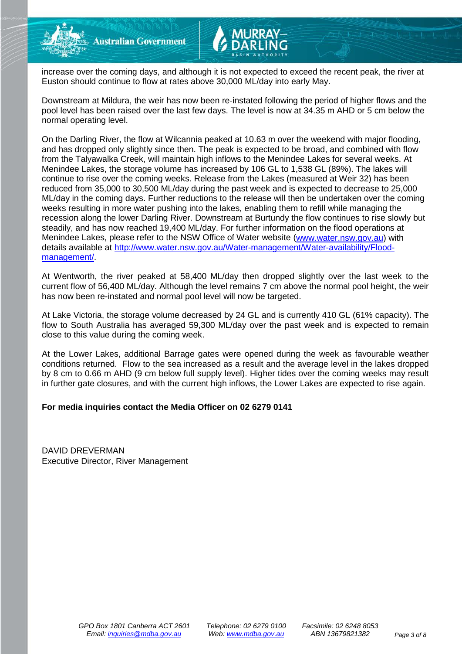

increase over the coming days, and although it is not expected to exceed the recent peak, the river at Euston should continue to flow at rates above 30,000 ML/day into early May.

Downstream at Mildura, the weir has now been re-instated following the period of higher flows and the pool level has been raised over the last few days. The level is now at 34.35 m AHD or 5 cm below the normal operating level.

On the Darling River, the flow at Wilcannia peaked at 10.63 m over the weekend with major flooding, and has dropped only slightly since then. The peak is expected to be broad, and combined with flow from the Talyawalka Creek, will maintain high inflows to the Menindee Lakes for several weeks. At Menindee Lakes, the storage volume has increased by 106 GL to 1,538 GL (89%). The lakes will continue to rise over the coming weeks. Release from the Lakes (measured at Weir 32) has been reduced from 35,000 to 30,500 ML/day during the past week and is expected to decrease to 25,000 ML/day in the coming days. Further reductions to the release will then be undertaken over the coming weeks resulting in more water pushing into the lakes, enabling them to refill while managing the recession along the lower Darling River. Downstream at Burtundy the flow continues to rise slowly but steadily, and has now reached 19,400 ML/day. For further information on the flood operations at Menindee Lakes, please refer to the NSW Office of Water website [\(www.water.nsw.gov.au\)](http://www.water.nsw.gov.au/) with details available at [http://www.water.nsw.gov.au/Water-management/Water-availability/Flood](http://www.water.nsw.gov.au/Water-management/Water-availability/Flood-management/)[management/.](http://www.water.nsw.gov.au/Water-management/Water-availability/Flood-management/)

At Wentworth, the river peaked at 58,400 ML/day then dropped slightly over the last week to the current flow of 56,400 ML/day. Although the level remains 7 cm above the normal pool height, the weir has now been re-instated and normal pool level will now be targeted.

At Lake Victoria, the storage volume decreased by 24 GL and is currently 410 GL (61% capacity). The flow to South Australia has averaged 59,300 ML/day over the past week and is expected to remain close to this value during the coming week.

At the Lower Lakes, additional Barrage gates were opened during the week as favourable weather conditions returned. Flow to the sea increased as a result and the average level in the lakes dropped by 8 cm to 0.66 m AHD (9 cm below full supply level). Higher tides over the coming weeks may result in further gate closures, and with the current high inflows, the Lower Lakes are expected to rise again.

### **For media inquiries contact the Media Officer on 02 6279 0141**

DAVID DREVERMAN Executive Director, River Management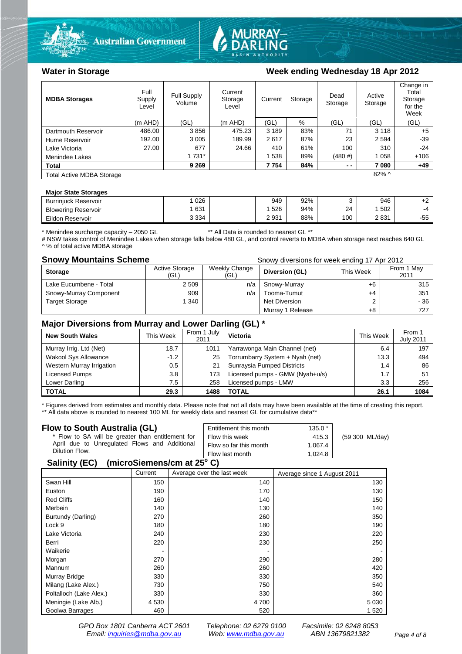



### Water in Storage Week ending Wednesday 18 Apr 2012

| <b>MDBA Storages</b>             | Full<br>Supply<br>Level | Full Supply<br>Volume | Current<br>Storage<br>Level | Current | Storage | Dead<br>Storage | Active<br>Storage | Change in<br>Total<br>Storage<br>for the<br>Week |
|----------------------------------|-------------------------|-----------------------|-----------------------------|---------|---------|-----------------|-------------------|--------------------------------------------------|
|                                  | $(m$ AHD)               | (GL)                  | $(m$ AHD)                   | (GL)    | %       | (GL)            | (GL)              | (GL)                                             |
| Dartmouth Reservoir              | 486.00                  | 3856                  | 475.23                      | 3 1 8 9 | 83%     | 71              | 3 1 1 8           | $+5$                                             |
| Hume Reservoir                   | 192.00                  | 3 0 0 5               | 189.99                      | 2617    | 87%     | 23              | 2 5 9 4           | $-39$                                            |
| Lake Victoria                    | 27.00                   | 677                   | 24.66                       | 410     | 61%     | 100             | 310               | $-24$                                            |
| Menindee Lakes                   |                         | 1 7 3 1 *             |                             | 538     | 89%     | (480#)          | 1 0 5 8           | $+106$                                           |
| <b>Total</b>                     |                         | 9 2 6 9               |                             | 7 7 5 4 | 84%     | $ -$            | 7080              | $+49$                                            |
| <b>Total Active MDBA Storage</b> |                         |                       |                             |         |         |                 | 82% ^             |                                                  |

#### **Major State Storages**

| <b>Burriniuck Reservoir</b> | 026     | 949  | 92% |     | 946  | . .          |
|-----------------------------|---------|------|-----|-----|------|--------------|
| <b>Blowering Reservoir</b>  | 631     | 526  | 94% | 24  | 502  | $-4$         |
| Eildon Reservoir            | 3 3 3 4 | 2931 | 88% | 100 | 2831 | $-5F$<br>טט∵ |

\* Menindee surcharge capacity – 2050 GL \*\* All Data is rounded to nearest GL \*\*

# NSW takes control of Menindee Lakes when storage falls below 480 GL, and control reverts to MDBA when storage next reaches 640 GL ^ % of total active MDBA storage

#### **Snowy Mountains Scheme Snowy diversions for week ending 17 Apr 2012**

| <b>Storage</b>         | <b>Active Storage</b><br>(GL) | Weekly Change<br>(GL) | Diversion (GL)   | This Week | From 1 May<br>2011 |
|------------------------|-------------------------------|-----------------------|------------------|-----------|--------------------|
| Lake Eucumbene - Total | 2 5 0 9                       | n/a                   | Snowy-Murray     | +6        | 315                |
| Snowy-Murray Component | 909                           | n/a                   | Tooma-Tumut      | $+4$      | 351                |
| <b>Target Storage</b>  | 340                           |                       | Net Diversion    |           | - 36               |
|                        |                               |                       | Murray 1 Release | +8        | 727                |

#### **Major Diversions from Murray and Lower Darling (GL) \***

| <b>New South Wales</b>    | This Week | From 1 July<br>2011 | <b>Victoria</b>                 | This Week | From 1<br><b>July 2011</b> |
|---------------------------|-----------|---------------------|---------------------------------|-----------|----------------------------|
| Murray Irrig. Ltd (Net)   | 18.7      | 1011                | Yarrawonga Main Channel (net)   | 6.4       | 197                        |
| Wakool Sys Allowance      | $-1.2$    | 25                  | Torrumbarry System + Nyah (net) | 13.3      | 494                        |
| Western Murray Irrigation | 0.5       | 21                  | Sunraysia Pumped Districts      | 1.4       | 86                         |
| Licensed Pumps            | 3.8       | 173                 | Licensed pumps - GMW (Nyah+u/s) | 1.7       | 51                         |
| Lower Darling             | 7.5       | 258                 | Licensed pumps - LMW            | 3.3       | 256                        |
| <b>TOTAL</b>              | 29.3      | 1488                | <b>TOTAL</b>                    | 26.1      | 1084                       |

\* Figures derived from estimates and monthly data. Please note that not all data may have been available at the time of creating this report. \*\* All data above is rounded to nearest 100 ML for weekly data and nearest GL for cumulative data\*\*

#### **Flow to South Australia (GL)**

| Flow to South Australia (GL)<br>* Flow to SA will be greater than entitlement for<br>April due to Unregulated Flows and Additional<br>Dilution Flow. | Entitlement this month<br>Flow this week<br>Flow so far this month | $135.0*$<br>415.3<br>1.067.4 | (59 300 ML/day) |  |  |
|------------------------------------------------------------------------------------------------------------------------------------------------------|--------------------------------------------------------------------|------------------------------|-----------------|--|--|
|                                                                                                                                                      | Flow last month                                                    | 1.024.8                      |                 |  |  |
| $\frac{1}{2}$<br>0.11111001                                                                                                                          |                                                                    |                              |                 |  |  |

#### **Salinity (EC) (microSiemens/cm at 25o C)**

|                         | Current | Average over the last week | Average since 1 August 2011 |
|-------------------------|---------|----------------------------|-----------------------------|
| Swan Hill               | 150     | 140                        | 130                         |
| Euston                  | 190     | 170                        | 130                         |
| <b>Red Cliffs</b>       | 160     | 140                        | 150                         |
| Merbein                 | 140     | 130                        | 140                         |
| Burtundy (Darling)      | 270     | 260                        | 350                         |
| Lock 9                  | 180     | 180                        | 190                         |
| Lake Victoria           | 240     | 230                        | 220                         |
| Berri                   | 220     | 230                        | 250                         |
| Waikerie                |         |                            |                             |
| Morgan                  | 270     | 290                        | 280                         |
| Mannum                  | 260     | 260                        | 420                         |
| Murray Bridge           | 330     | 330                        | 350                         |
| Milang (Lake Alex.)     | 730     | 750                        | 540                         |
| Poltalloch (Lake Alex.) | 330     | 330                        | 360                         |
| Meningie (Lake Alb.)    | 4 5 3 0 | 4700                       | 5 0 3 0                     |
| Goolwa Barrages         | 460     | 520                        | 1 5 2 0                     |

*GPO Box 1801 Canberra ACT 2601 Telephone: 02 6279 0100 Facsimile: 02 6248 8053 Email: [inquiries@mdba.gov.au](mailto:inquiries@mdba.gov.au) Web: [www.mdba.gov.au](http://www.mdba.gov.au/) ABN 13679821382 Page 4 of 8*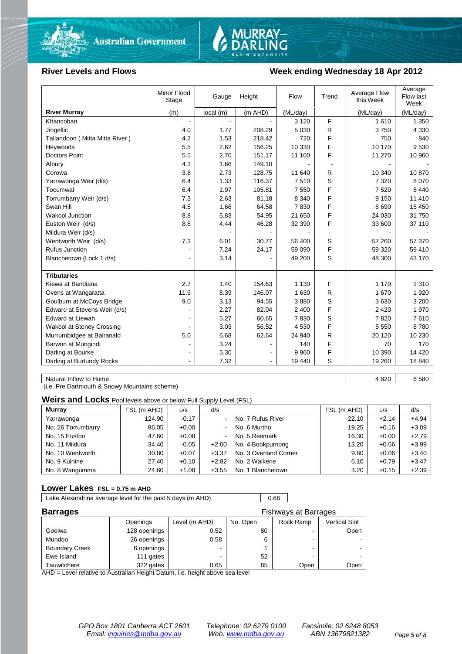



### River Levels and Flows **Week ending Wednesday 18 Apr 2012**

|                                  | Minor Flood<br>Stage | Gauge    | Height  | Flow     | Trend | Average Flow<br>this Week | Average<br>Flow last<br>Week |
|----------------------------------|----------------------|----------|---------|----------|-------|---------------------------|------------------------------|
| <b>River Murray</b>              | (m)                  | local(m) | (m AHD) | (ML/day) |       | (ML/day)                  | (ML/day)                     |
| Khancoban                        |                      |          |         | 3 1 2 0  | F     | 1610                      | 1 3 5 0                      |
| Jingellic                        | 4.0                  | 1.77     | 208.29  | 5 0 3 0  | R     | 3750                      | 4 3 3 0                      |
| Tallandoon (Mitta Mitta River)   | 4.2                  | 1.53     | 218.42  | 720      | F     | 750                       | 840                          |
| Heywoods                         | 5.5                  | 2.62     | 156.25  | 10 330   | F     | 10 170                    | 9530                         |
| <b>Doctors Point</b>             | 5.5                  | 2.70     | 151.17  | 11 100   | F     | 11 270                    | 10 960                       |
| Albury                           | 4.3                  | 1.66     | 149.10  |          |       |                           |                              |
| Corowa                           | 3.8                  | 2.73     | 128.75  | 11 640   | R     | 10 340                    | 10 870                       |
| Yarrawonga Weir (d/s)            | 6.4                  | 1.33     | 116.37  | 7510     | S     | 7 3 2 0                   | 8 0 7 0                      |
| Tocumwal                         | 6.4                  | 1.97     | 105.81  | 7 5 5 0  | F     | 7 5 2 0                   | 8 4 4 0                      |
| Torrumbarry Weir (d/s)           | 7.3                  | 2.63     | 81.18   | 8 3 4 0  | F     | 9 1 5 0                   | 11 410                       |
| Swan Hill                        | 4.5                  | 1.66     | 64.58   | 7830     | F     | 8690                      | 15 450                       |
| Wakool Junction                  | 8.8                  | 5.83     | 54.95   | 21 650   | F     | 24 030                    | 31 750                       |
| Euston Weir (d/s)                | 8.8                  | 4.44     | 46.28   | 32 390   | F     | 33 600                    | 37 110                       |
| Mildura Weir (d/s)               |                      |          |         |          |       |                           |                              |
| Wentworth Weir (d/s)             | 7.3                  | 6.01     | 30.77   | 56 400   | S     | 57 260                    | 57 370                       |
| Rufus Junction                   |                      | 7.24     | 24.17   | 59 090   | F     | 59 320                    | 59 410                       |
| Blanchetown (Lock 1 d/s)         | $\blacksquare$       | 3.14     |         | 49 200   | S     | 48 300                    | 43 170                       |
|                                  |                      |          |         |          |       |                           |                              |
| <b>Tributaries</b>               |                      |          |         |          |       |                           |                              |
| Kiewa at Bandiana                | 2.7                  | 1.40     | 154.63  | 1 1 3 0  | F     | 1 1 7 0                   | 1 3 1 0                      |
| Ovens at Wangaratta              | 11.9                 | 8.39     | 146.07  | 1 6 3 0  | R     | 1670                      | 1920                         |
| Goulburn at McCoys Bridge        | 9.0                  | 3.13     | 94.55   | 3880     | S     | 3630                      | 3 200                        |
| Edward at Stevens Weir (d/s)     |                      | 2.27     | 82.04   | 2 4 0 0  | F     | 2 4 2 0                   | 1970                         |
| <b>Edward at Liewah</b>          |                      | 5.27     | 60.65   | 7830     | S     | 7820                      | 7610                         |
| <b>Wakool at Stoney Crossing</b> |                      | 3.03     | 56.52   | 4 5 3 0  | F     | 5 5 5 0                   | 8780                         |
| Murrumbidgee at Balranald        | 5.0                  | 6.68     | 62.64   | 24 940   | R     | 20 120                    | 10 230                       |
| Barwon at Mungindi               | ۰                    | 3.24     |         | 140      | F     | 70                        | 170                          |
| Darling at Bourke                | $\blacksquare$       | 5.30     |         | 9 9 6 0  | F     | 10 390                    | 14 4 20                      |
| Darling at Burtundy Rocks        |                      | 7.32     |         | 19 440   | S     | 19 260                    | 18 840                       |

Natural Inflow to Hume 6 6 680

(i.e. Pre Dartmouth & Snowy Mountains scheme)

**Weirs and Locks** Pool levels above or below Full Supply Level (FSL)

| <b>Murray</b>      | FSL (m AHD) | u/s     | d/s            |                       | FSL (m AHD) | u/s     | d/s     |
|--------------------|-------------|---------|----------------|-----------------------|-------------|---------|---------|
| Yarrawonga         | 124.90      | $-0.17$ | $\sim$ 1       | No. 7 Rufus River     | 22.10       | $+2.14$ | $+4.94$ |
| No. 26 Torrumbarry | 86.05       | $+0.00$ | $\sim$         | No. 6 Murtho          | 19.25       | $+0.16$ | $+3.09$ |
| No. 15 Euston      | 47.60       | $+0.08$ | $\blacksquare$ | No. 5 Renmark         | 16.30       | $+0.00$ | $+2.79$ |
| No. 11 Mildura     | 34.40       | $-0.05$ | $+2.00$        | No. 4 Bookpurnong     | 13.20       | $+0.66$ | $+3.99$ |
| No. 10 Wentworth   | 30.80       | $+0.07$ | $+3.37$        | No. 3 Overland Corner | 9.80        | $+0.06$ | $+3.40$ |
| No. 9 Kulnine      | 27.40       | $+0.10$ | $+2.82$        | No. 2 Waikerie        | 6.10        | $+0.79$ | $+3.47$ |
| No. 8 Wangumma     | 24.60       | $+1.08$ | $+3.55$        | No. 1 Blanchetown     | 3.20        | $+0.15$ | $+2.39$ |

#### **Lower Lakes FSL = 0.75 m AHD**

Lake Alexandrina average level for the past 5 days (m AHD) 0.66

| <b>Barrages</b><br><b>Fishways at Barrages</b> |              |               |          |           |                      |
|------------------------------------------------|--------------|---------------|----------|-----------|----------------------|
|                                                | Openings     | Level (m AHD) | No. Open | Rock Ramp | <b>Vertical Slot</b> |
| Goolwa                                         | 128 openings | 0.52          | 80       |           | Open                 |
| Mundoo                                         | 26 openings  | 0.58          |          | -         |                      |
| <b>Boundary Creek</b>                          | 6 openings   |               |          | -         |                      |
| Ewe Island                                     | 111 gates    |               | 52       |           |                      |
| Tauwitchere                                    | 322 gates    | 0.65          | 85       | Open      | Open                 |

AHD = Level relative to Australian Height Datum, i.e. height above sea level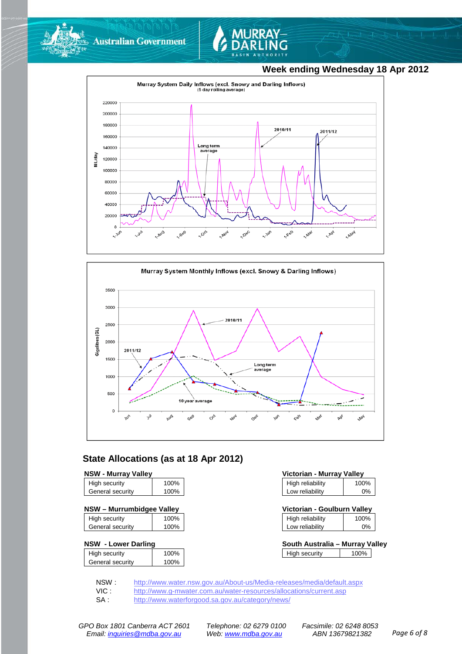

**Australian Government** 



# **Week ending Wednesday 18 Apr 2012**





## **State Allocations (as at 18 Apr 2012)**

| <b>NSW - Murray Valley</b> |                  |
|----------------------------|------------------|
| <b>High contrity</b>       | 100 <sub>0</sub> |

| General security     | 100%         |
|----------------------|--------------|
| <b>High Security</b> | <b>IUU70</b> |

| NSW - Murrumbidgee Valley | Victorian - Goulburn Valley |
|---------------------------|-----------------------------|
|---------------------------|-----------------------------|

| High security    | 100% |
|------------------|------|
| General security | 100% |

#### **NSW - Lower Darling**

| High security    | 100% |
|------------------|------|
| General security | 100% |
|                  |      |

| <b>NSW - Murray Valley</b> |      | Victorian - Murray Valley |      |
|----------------------------|------|---------------------------|------|
| High security              | 100% | High reliability          | 100% |
| General security           | 100% | Low reliability           | 0%   |

| Victorian - Goulburn Valley |      |
|-----------------------------|------|
| High reliability            | 100% |

| Low reliability | 0% |
|-----------------|----|
|                 |    |

| South Australia - Murray Valley |      |  |
|---------------------------------|------|--|
| High security                   | 100% |  |

NSW : <http://www.water.nsw.gov.au/About-us/Media-releases/media/default.aspx><br>VIC : http://www.g-mwater.com.au/water-resources/allocations/current.asp

VIC : <http://www.g-mwater.com.au/water-resources/allocations/current.asp><br>SA : http://www.waterforgood.sa.gov.au/category/news/

<http://www.waterforgood.sa.gov.au/category/news/>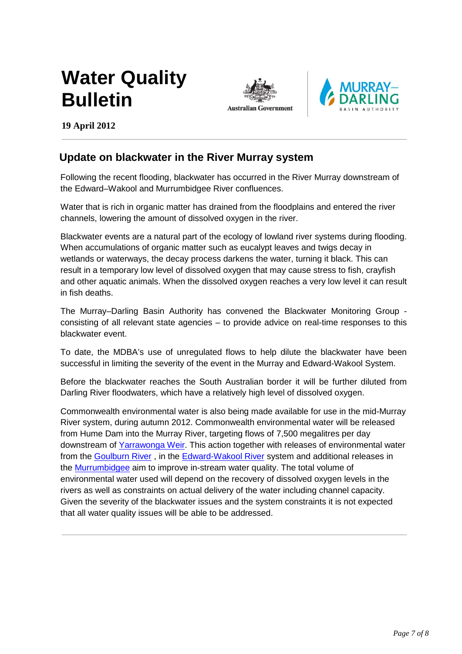# **Water Quality Bulletin**





**19 April 2012** 

# **Update on blackwater in the River Murray system**

Following the recent flooding, blackwater has occurred in the River Murray downstream of the Edward–Wakool and Murrumbidgee River confluences.

Water that is rich in organic matter has drained from the floodplains and entered the river channels, lowering the amount of dissolved oxygen in the river.

Blackwater events are a natural part of the ecology of lowland river systems during flooding. When accumulations of organic matter such as eucalypt leaves and twigs decay in wetlands or waterways, the decay process darkens the water, turning it black. This can result in a temporary low level of dissolved oxygen that may cause stress to fish, crayfish and other aquatic animals. When the dissolved oxygen reaches a very low level it can result in fish deaths.

The Murray–Darling Basin Authority has convened the Blackwater Monitoring Group consisting of all relevant state agencies – to provide advice on real-time responses to this blackwater event.

To date, the MDBA's use of unregulated flows to help dilute the blackwater have been successful in limiting the severity of the event in the Murray and Edward-Wakool System.

Before the blackwater reaches the South Australian border it will be further diluted from Darling River floodwaters, which have a relatively high level of dissolved oxygen.

Commonwealth environmental water is also being made available for use in the mid-Murray River system, during autumn 2012. Commonwealth environmental water will be released from Hume Dam into the Murray River, targeting flows of 7,500 megalitres per day downstream of [Yarrawonga Weir.](http://www.environment.gov.au/ewater/southern/murray/index.html) This action together with releases of environmental water from the [Goulburn River](http://www.environment.gov.au/ewater/southern/goulburn-broken/index.html) , in the [Edward-Wakool River](http://www.environment.gov.au/ewater/southern/murray/edward-wakool.html) system and additional releases in the [Murrumbidgee](http://www.environment.gov.au/ewater/southern/murrumbidgee/index.html) aim to improve in-stream water quality. The total volume of environmental water used will depend on the recovery of dissolved oxygen levels in the rivers as well as constraints on actual delivery of the water including channel capacity. Given the severity of the blackwater issues and the system constraints it is not expected that all water quality issues will be able to be addressed.